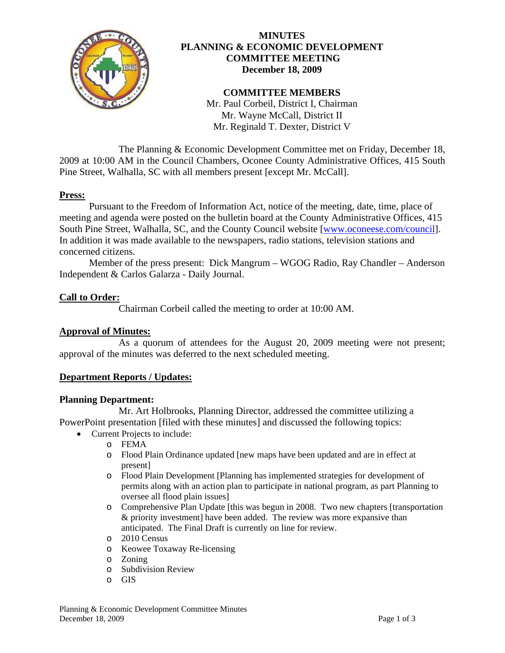

## **MINUTES PLANNING & ECONOMIC DEVELOPMENT COMMITTEE MEETING December 18, 2009**

# **COMMITTEE MEMBERS**

Mr. Paul Corbeil, District I, Chairman Mr. Wayne McCall, District II Mr. Reginald T. Dexter, District V

 The Planning & Economic Development Committee met on Friday, December 18, 2009 at 10:00 AM in the Council Chambers, Oconee County Administrative Offices, 415 South Pine Street, Walhalla, SC with all members present [except Mr. McCall].

## **Press:**

 Pursuant to the Freedom of Information Act, notice of the meeting, date, time, place of meeting and agenda were posted on the bulletin board at the County Administrative Offices, 415 South Pine Street, Walhalla, SC, and the County Council website [\[www.oconeese.com/council\]](http://www.oconeese.com/council). In addition it was made available to the newspapers, radio stations, television stations and concerned citizens.

Member of the press present: Dick Mangrum – WGOG Radio, Ray Chandler – Anderson Independent & Carlos Galarza - Daily Journal.

# **Call to Order:**

Chairman Corbeil called the meeting to order at 10:00 AM.

## **Approval of Minutes:**

 As a quorum of attendees for the August 20, 2009 meeting were not present; approval of the minutes was deferred to the next scheduled meeting.

## **Department Reports / Updates:**

## **Planning Department:**

 Mr. Art Holbrooks, Planning Director, addressed the committee utilizing a PowerPoint presentation [filed with these minutes] and discussed the following topics:

• Current Projects to include:

o FEMA

- o Flood Plain Ordinance updated [new maps have been updated and are in effect at present]
- o Flood Plain Development [Planning has implemented strategies for development of permits along with an action plan to participate in national program, as part Planning to oversee all flood plain issues]
- o Comprehensive Plan Update [this was begun in 2008. Two new chapters [transportation & priority investment] have been added. The review was more expansive than anticipated. The Final Draft is currently on line for review.
- o 2010 Census
- o Keowee Toxaway Re-licensing
- o Zoning
- o Subdivision Review
- o GIS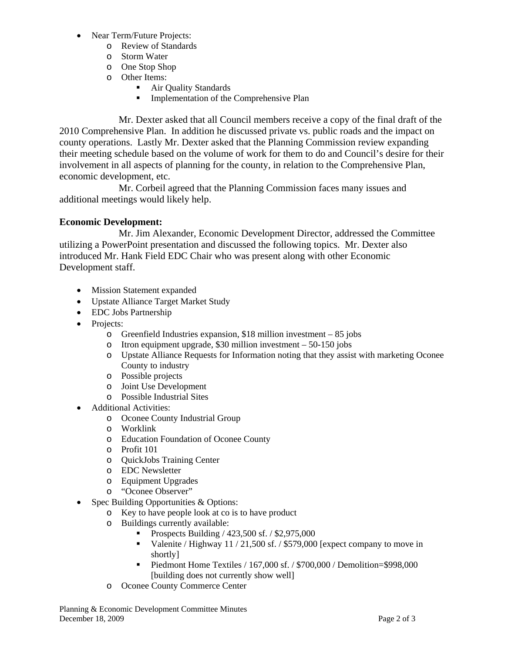- Near Term/Future Projects:
	- o Review of Standards
	- o Storm Water
	- o One Stop Shop
	- o Other Items:
		- Air Quality Standards
		- **Implementation of the Comprehensive Plan**

Mr. Dexter asked that all Council members receive a copy of the final draft of the 2010 Comprehensive Plan. In addition he discussed private vs. public roads and the impact on county operations. Lastly Mr. Dexter asked that the Planning Commission review expanding their meeting schedule based on the volume of work for them to do and Council's desire for their involvement in all aspects of planning for the county, in relation to the Comprehensive Plan, economic development, etc.

 Mr. Corbeil agreed that the Planning Commission faces many issues and additional meetings would likely help.

# **Economic Development:**

 Mr. Jim Alexander, Economic Development Director, addressed the Committee utilizing a PowerPoint presentation and discussed the following topics. Mr. Dexter also introduced Mr. Hank Field EDC Chair who was present along with other Economic Development staff.

- Mission Statement expanded
- Upstate Alliance Target Market Study
- EDC Jobs Partnership
- Projects:
	- o Greenfield Industries expansion, \$18 million investment 85 jobs
	- o Itron equipment upgrade, \$30 million investment 50-150 jobs
	- o Upstate Alliance Requests for Information noting that they assist with marketing Oconee County to industry
	- o Possible projects
	- o Joint Use Development
	- o Possible Industrial Sites
- Additional Activities:
	- o Oconee County Industrial Group
	- o Worklink
	- o Education Foundation of Oconee County
	- o Profit 101
	- o QuickJobs Training Center
	- o EDC Newsletter
	- o Equipment Upgrades
	- o "Oconee Observer"
- Spec Building Opportunities & Options:
	- o Key to have people look at co is to have product
		- o Buildings currently available:
			- **Prospects Building / 423,500 sf. / \$2,975,000**
			- Valenite / Highway  $11 / 21,500$  sf. / \$579,000 [expect company to move in shortly]
			- Piedmont Home Textiles  $/ 167,000$  sf.  $/$  \$700,000  $/$  Demolition=\$998,000 [building does not currently show well]
		- o Oconee County Commerce Center